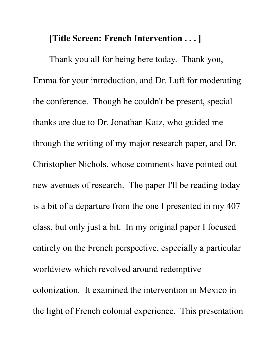## **[Title Screen: French Intervention . . . ]**

Thank you all for being here today. Thank you, Emma for your introduction, and Dr. Luft for moderating the conference. Though he couldn't be present, special thanks are due to Dr. Jonathan Katz, who guided me through the writing of my major research paper, and Dr. Christopher Nichols, whose comments have pointed out new avenues of research. The paper I'll be reading today is a bit of a departure from the one I presented in my 407 class, but only just a bit. In my original paper I focused entirely on the French perspective, especially a particular worldview which revolved around redemptive colonization. It examined the intervention in Mexico in the light of French colonial experience. This presentation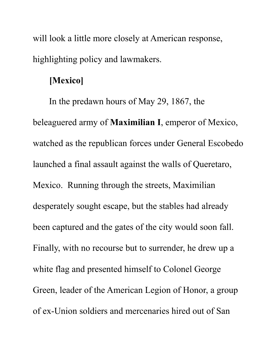will look a little more closely at American response, highlighting policy and lawmakers.

## **[Mexico]**

In the predawn hours of May 29, 1867, the beleaguered army of **Maximilian I**, emperor of Mexico, watched as the republican forces under General Escobedo launched a final assault against the walls of Queretaro, Mexico. Running through the streets, Maximilian desperately sought escape, but the stables had already been captured and the gates of the city would soon fall. Finally, with no recourse but to surrender, he drew up a white flag and presented himself to Colonel George Green, leader of the American Legion of Honor, a group of ex-Union soldiers and mercenaries hired out of San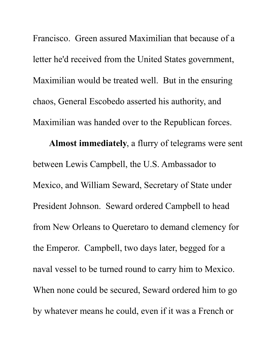Francisco. Green assured Maximilian that because of a letter he'd received from the United States government, Maximilian would be treated well. But in the ensuring chaos, General Escobedo asserted his authority, and Maximilian was handed over to the Republican forces.

**Almost immediately**, a flurry of telegrams were sent between Lewis Campbell, the U.S. Ambassador to Mexico, and William Seward, Secretary of State under President Johnson. Seward ordered Campbell to head from New Orleans to Queretaro to demand clemency for the Emperor. Campbell, two days later, begged for a naval vessel to be turned round to carry him to Mexico. When none could be secured, Seward ordered him to go by whatever means he could, even if it was a French or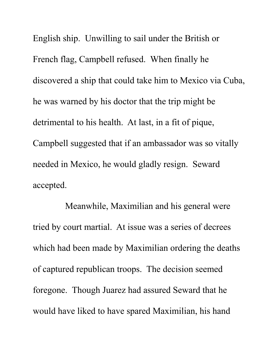English ship. Unwilling to sail under the British or French flag, Campbell refused. When finally he discovered a ship that could take him to Mexico via Cuba, he was warned by his doctor that the trip might be detrimental to his health. At last, in a fit of pique, Campbell suggested that if an ambassador was so vitally needed in Mexico, he would gladly resign. Seward accepted.

Meanwhile, Maximilian and his general were tried by court martial. At issue was a series of decrees which had been made by Maximilian ordering the deaths of captured republican troops. The decision seemed foregone. Though Juarez had assured Seward that he would have liked to have spared Maximilian, his hand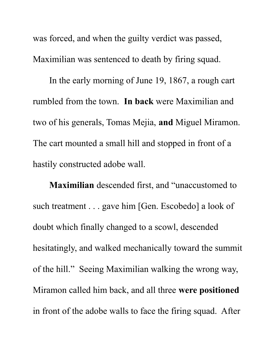was forced, and when the guilty verdict was passed, Maximilian was sentenced to death by firing squad.

In the early morning of June 19, 1867, a rough cart rumbled from the town. **In back** were Maximilian and two of his generals, Tomas Mejia, **and** Miguel Miramon. The cart mounted a small hill and stopped in front of a hastily constructed adobe wall.

**Maximilian** descended first, and "unaccustomed to such treatment . . . gave him [Gen. Escobedo] a look of doubt which finally changed to a scowl, descended hesitatingly, and walked mechanically toward the summit of the hill." Seeing Maximilian walking the wrong way, Miramon called him back, and all three **were positioned** in front of the adobe walls to face the firing squad. After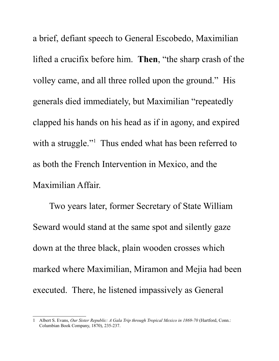a brief, defiant speech to General Escobedo, Maximilian lifted a crucifix before him. **Then**, "the sharp crash of the volley came, and all three rolled upon the ground." His generals died immediately, but Maximilian "repeatedly clapped his hands on his head as if in agony, and expired with a struggle."<sup>[1](#page-5-0)</sup> Thus ended what has been referred to as both the French Intervention in Mexico, and the Maximilian Affair.

Two years later, former Secretary of State William Seward would stand at the same spot and silently gaze down at the three black, plain wooden crosses which marked where Maximilian, Miramon and Mejia had been executed. There, he listened impassively as General

<span id="page-5-0"></span><sup>1</sup> Albert S. Evans, *Our Sister Republic: A Gala Trip through Tropical Mexico in 1869-70* (Hartford, Conn.: Columbian Book Company, 1870), 235-237.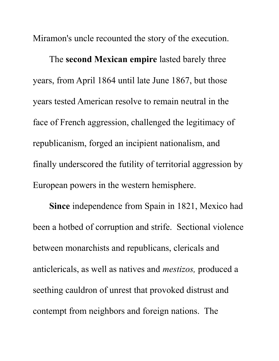Miramon's uncle recounted the story of the execution.

The **second Mexican empire** lasted barely three years, from April 1864 until late June 1867, but those years tested American resolve to remain neutral in the face of French aggression, challenged the legitimacy of republicanism, forged an incipient nationalism, and finally underscored the futility of territorial aggression by European powers in the western hemisphere.

**Since** independence from Spain in 1821, Mexico had been a hotbed of corruption and strife. Sectional violence between monarchists and republicans, clericals and anticlericals, as well as natives and *mestizos,* produced a seething cauldron of unrest that provoked distrust and contempt from neighbors and foreign nations. The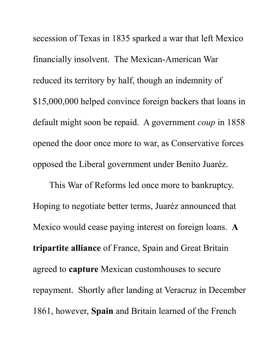secession of Texas in 1835 sparked a war that left Mexico financially insolvent. The Mexican-American War reduced its territory by half, though an indemnity of \$15,000,000 helped convince foreign backers that loans in default might soon be repaid. A government *coup* in 1858 opened the door once more to war, as Conservative forces opposed the Liberal government under Benito Juaréz.

This War of Reforms led once more to bankruptcy. Hoping to negotiate better terms, Juaréz announced that Mexico would cease paying interest on foreign loans. **A tripartite alliance** of France, Spain and Great Britain agreed to **capture** Mexican customhouses to secure repayment. Shortly after landing at Veracruz in December 1861, however, **Spain** and Britain learned of the French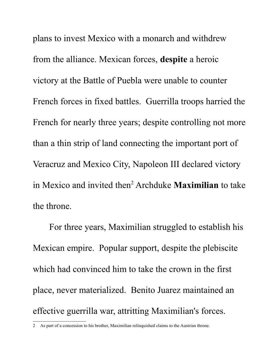plans to invest Mexico with a monarch and withdrew from the alliance. Mexican forces, **despite** a heroic victory at the Battle of Puebla were unable to counter French forces in fixed battles. Guerrilla troops harried the French for nearly three years; despite controlling not more than a thin strip of land connecting the important port of Veracruz and Mexico City, Napoleon III declared victory in Mexico and invited then<sup>[2](#page-8-0)</sup> Archduke **Maximilian** to take the throne.

For three years, Maximilian struggled to establish his Mexican empire. Popular support, despite the plebiscite which had convinced him to take the crown in the first place, never materialized. Benito Juarez maintained an effective guerrilla war, attritting Maximilian's forces.

<span id="page-8-0"></span><sup>2</sup> As part of a concession to his brother, Maximilian relinquished claims to the Austrian throne.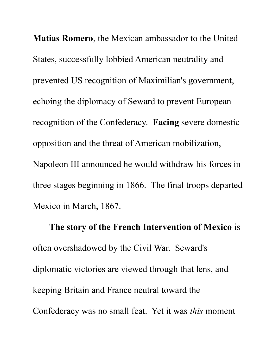**Matias Romero**, the Mexican ambassador to the United States, successfully lobbied American neutrality and prevented US recognition of Maximilian's government, echoing the diplomacy of Seward to prevent European recognition of the Confederacy. **Facing** severe domestic opposition and the threat of American mobilization, Napoleon III announced he would withdraw his forces in three stages beginning in 1866. The final troops departed Mexico in March, 1867.

**The story of the French Intervention of Mexico** is often overshadowed by the Civil War. Seward's diplomatic victories are viewed through that lens, and keeping Britain and France neutral toward the Confederacy was no small feat. Yet it was *this* moment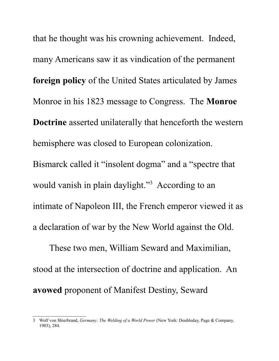that he thought was his crowning achievement. Indeed, many Americans saw it as vindication of the permanent **foreign policy** of the United States articulated by James Monroe in his 1823 message to Congress. The **Monroe Doctrine** asserted unilaterally that henceforth the western hemisphere was closed to European colonization. Bismarck called it "insolent dogma" and a "spectre that would vanish in plain daylight."<sup>[3](#page-10-0)</sup> According to an intimate of Napoleon III, the French emperor viewed it as a declaration of war by the New World against the Old.

These two men, William Seward and Maximilian, stood at the intersection of doctrine and application. An **avowed** proponent of Manifest Destiny, Seward

<span id="page-10-0"></span><sup>3</sup> Wolf von Shierbrand, *Germany: The Welding of a World Power* (New York: Doubleday, Page & Company, 1903), 284.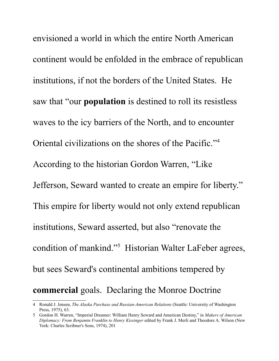envisioned a world in which the entire North American continent would be enfolded in the embrace of republican institutions, if not the borders of the United States. He saw that "our **population** is destined to roll its resistless waves to the icy barriers of the North, and to encounter Oriental civilizations on the shores of the Pacific."[4](#page-11-0) According to the historian Gordon Warren, "Like Jefferson, Seward wanted to create an empire for liberty." This empire for liberty would not only extend republican institutions, Seward asserted, but also "renovate the condition of mankind."<sup>[5](#page-11-1)</sup> Historian Walter LaFeber agrees, but sees Seward's continental ambitions tempered by **commercial** goals. Declaring the Monroe Doctrine

<span id="page-11-0"></span><sup>4</sup> Ronald J. Jensen, *The Alaska Purchase and Russian-American Relations* (Seattle: University of Washington Press, 1975), 63.

<span id="page-11-1"></span><sup>5</sup> Gordon H. Warren, "Imperial Dreamer: William Henry Seward and American Destiny," in *Makers of American Diplomacy: From Benjamin Franklin to Henry Kissinger* edited by Frank J. Merli and Theodore A. Wilson (New York: Charles Scribner's Sons, 1974), 201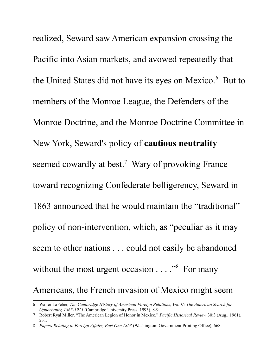realized, Seward saw American expansion crossing the Pacific into Asian markets, and avowed repeatedly that the United States did not have its eyes on Mexico.<sup>[6](#page-12-0)</sup> But to members of the Monroe League, the Defenders of the Monroe Doctrine, and the Monroe Doctrine Committee in New York, Seward's policy of **cautious neutrality** seemed cowardly at best.<sup>[7](#page-12-1)</sup> Wary of provoking France toward recognizing Confederate belligerency, Seward in 1863 announced that he would maintain the "traditional" policy of non-intervention, which, as "peculiar as it may seem to other nations . . . could not easily be abandoned without the most urgent occasion  $\dots$ ."<sup>[8](#page-12-2)</sup> For many Americans, the French invasion of Mexico might seem

<span id="page-12-0"></span><sup>6</sup> Walter LaFeber, *The Cambridge History of American Foreign Relations, Vol. II: The American Search for Opportunity, 1865-1913* (Cambridge University Press, 1993), 8-9.

<span id="page-12-1"></span><sup>7</sup> Robert Ryal Miller, "The American Legion of Honor in Mexico," *Pacific Historical Review* 30:3 (Aug., 1961), 231.

<span id="page-12-2"></span><sup>8</sup> *Papers Relating to Foreign Affairs, Part One 1863* (Washington: Government Printing Office), 668.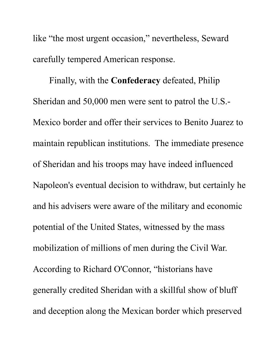like "the most urgent occasion," nevertheless, Seward carefully tempered American response.

Finally, with the **Confederacy** defeated, Philip Sheridan and 50,000 men were sent to patrol the U.S.- Mexico border and offer their services to Benito Juarez to maintain republican institutions. The immediate presence of Sheridan and his troops may have indeed influenced Napoleon's eventual decision to withdraw, but certainly he and his advisers were aware of the military and economic potential of the United States, witnessed by the mass mobilization of millions of men during the Civil War. According to Richard O'Connor, "historians have generally credited Sheridan with a skillful show of bluff and deception along the Mexican border which preserved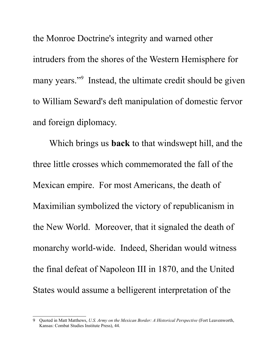the Monroe Doctrine's integrity and warned other intruders from the shores of the Western Hemisphere for many years."<sup>[9](#page-14-0)</sup> Instead, the ultimate credit should be given to William Seward's deft manipulation of domestic fervor and foreign diplomacy.

Which brings us **back** to that windswept hill, and the three little crosses which commemorated the fall of the Mexican empire. For most Americans, the death of Maximilian symbolized the victory of republicanism in the New World. Moreover, that it signaled the death of monarchy world-wide. Indeed, Sheridan would witness the final defeat of Napoleon III in 1870, and the United States would assume a belligerent interpretation of the

<span id="page-14-0"></span><sup>9</sup> Quoted in Matt Matthews, *U.S. Army on the Mexican Border: A Historical Perspective* (Fort Leavenworth, Kansas: Combat Studies Institute Press), 44.